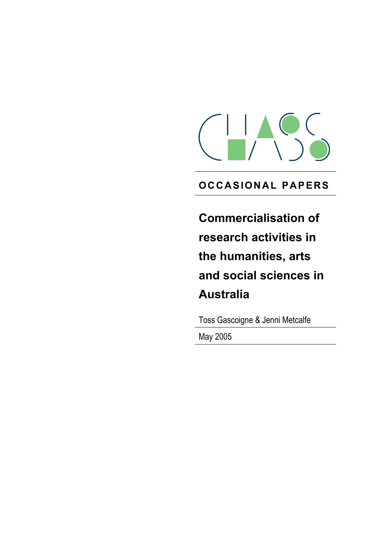

# **OC CASION AL PAPERS**

**Commercialisation of research activities in the humanities, arts and social sciences in Australia**

Toss Gascoigne & Jenni Metcalfe

May 2005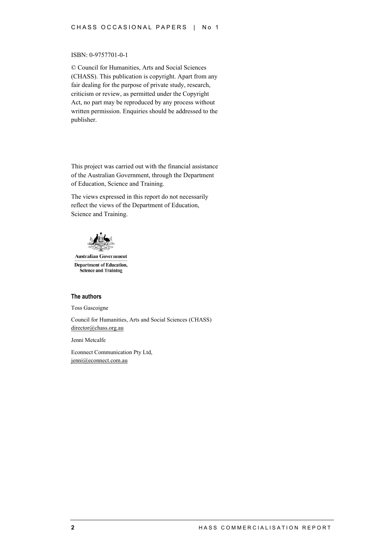#### ISBN: 0-9757701-0-1

© Council for Humanities, Arts and Social Sciences (CHASS). This publication is copyright. Apart from any fair dealing for the purpose of private study, research, criticism or review, as permitted under the Copyright Act, no part may be reproduced by any process without written permission. Enquiries should be addressed to the publisher.

This project was carried out with the financial assistance of the Australian Government, through the Department of Education, Science and Training.

The views expressed in this report do not necessarily reflect the views of the Department of Education, Science and Training.



**Australian Government Department of Education, Science and Training** 

#### **The authors**

Toss Gascoigne

Council for Humanities, Arts and Social Sciences (CHASS) director@chass.org.au

Jenni Metcalfe

Econnect Communication Pty Ltd, jenni@econnect.com.au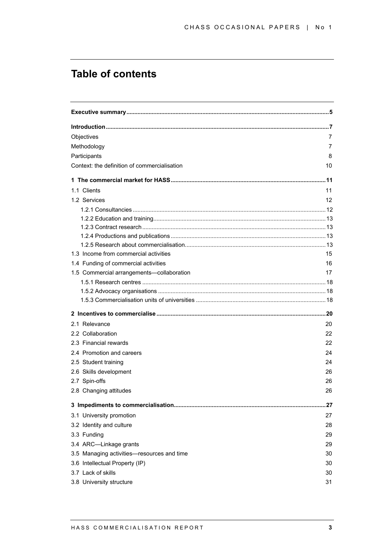# **Table of contents**

| Objectives                                   | 7  |
|----------------------------------------------|----|
| Methodology                                  | 7  |
| Participants                                 | 8  |
| Context: the definition of commercialisation | 10 |
|                                              |    |
| 1.1 Clients                                  | 11 |
| 1.2 Services                                 | 12 |
|                                              |    |
|                                              |    |
|                                              |    |
|                                              |    |
|                                              |    |
| 1.3 Income from commercial activities        | 15 |
| 1.4 Funding of commercial activities         | 16 |
| 1.5 Commercial arrangements-collaboration    | 17 |
|                                              |    |
|                                              |    |
|                                              |    |
|                                              |    |
| 2.1 Relevance                                | 20 |
| 2.2 Collaboration                            | 22 |
| 2.3 Financial rewards                        | 22 |
| 2.4 Promotion and careers                    | 24 |
| 2.5 Student training                         | 24 |
| 2.6 Skills development                       | 26 |
| 2.7 Spin-offs                                | 26 |
| 2.8 Changing attitudes                       | 26 |
|                                              |    |
| 3.1 University promotion                     | 27 |
| 3.2 Identity and culture                     | 28 |
| 3.3 Funding                                  | 29 |
| 3.4 ARC-Linkage grants                       | 29 |
| 3.5 Managing activities-resources and time   | 30 |
| 3.6 Intellectual Property (IP)               | 30 |
| 3.7 Lack of skills                           | 30 |
| 3.8 University structure                     | 31 |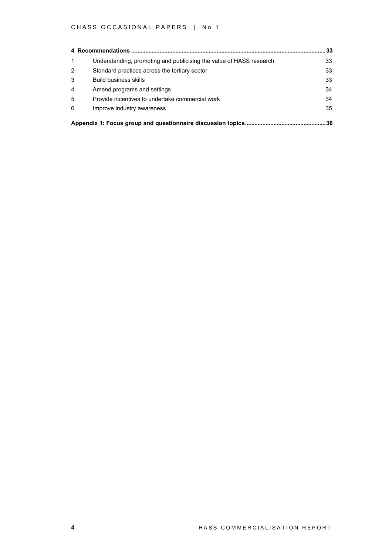### CHASS OCCASIONAL PAPERS | No 1

|                |                                                                     | 33 |
|----------------|---------------------------------------------------------------------|----|
| 1              | Understanding, promoting and publicising the value of HASS research | 33 |
| $\overline{2}$ | Standard practices across the tertiary sector                       | 33 |
| 3              | <b>Build business skills</b>                                        | 33 |
| $\overline{4}$ | Amend programs and settings                                         | 34 |
| 5              | Provide incentives to undertake commercial work                     | 34 |
| 6              | Improve industry awareness                                          | 35 |
|                |                                                                     | 36 |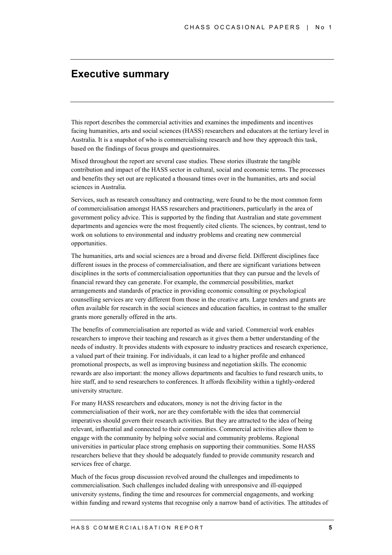## **Executive summary**

This report describes the commercial activities and examines the impediments and incentives facing humanities, arts and social sciences (HASS) researchers and educators at the tertiary level in Australia. It is a snapshot of who is commercialising research and how they approach this task, based on the findings of focus groups and questionnaires.

Mixed throughout the report are several case studies. These stories illustrate the tangible contribution and impact of the HASS sector in cultural, social and economic terms. The processes and benefits they set out are replicated a thousand times over in the humanities, arts and social sciences in Australia.

Services, such as research consultancy and contracting, were found to be the most common form of commercialisation amongst HASS researchers and practitioners, particularly in the area of government policy advice. This is supported by the finding that Australian and state government departments and agencies were the most frequently cited clients. The sciences, by contrast, tend to work on solutions to environmental and industry problems and creating new commercial opportunities.

The humanities, arts and social sciences are a broad and diverse field. Different disciplines face different issues in the process of commercialisation, and there are significant variations between disciplines in the sorts of commercialisation opportunities that they can pursue and the levels of financial reward they can generate. For example, the commercial possibilities, market arrangements and standards of practice in providing economic consulting or psychological counselling services are very different from those in the creative arts. Large tenders and grants are often available for research in the social sciences and education faculties, in contrast to the smaller grants more generally offered in the arts.

The benefits of commercialisation are reported as wide and varied. Commercial work enables researchers to improve their teaching and research as it gives them a better understanding of the needs of industry. It provides students with exposure to industry practices and research experience, a valued part of their training. For individuals, it can lead to a higher profile and enhanced promotional prospects, as well as improving business and negotiation skills. The economic rewards are also important: the money allows departments and faculties to fund research units, to hire staff, and to send researchers to conferences. It affords flexibility within a tightly-ordered university structure.

For many HASS researchers and educators, money is not the driving factor in the commercialisation of their work, nor are they comfortable with the idea that commercial imperatives should govern their research activities. But they are attracted to the idea of being relevant, influential and connected to their communities. Commercial activities allow them to engage with the community by helping solve social and community problems. Regional universities in particular place strong emphasis on supporting their communities. Some HASS researchers believe that they should be adequately funded to provide community research and services free of charge.

Much of the focus group discussion revolved around the challenges and impediments to commercialisation. Such challenges included dealing with unresponsive and ill-equipped university systems, finding the time and resources for commercial engagements, and working within funding and reward systems that recognise only a narrow band of activities. The attitudes of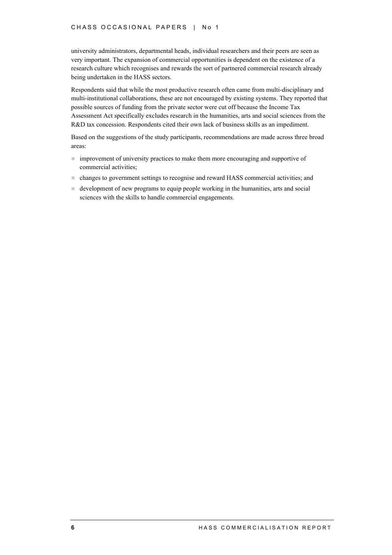university administrators, departmental heads, individual researchers and their peers are seen as very important. The expansion of commercial opportunities is dependent on the existence of a research culture which recognises and rewards the sort of partnered commercial research already being undertaken in the HASS sectors.

Respondents said that while the most productive research often came from multi-disciplinary and multi-institutional collaborations, these are not encouraged by existing systems. They reported that possible sources of funding from the private sector were cut off because the Income Tax Assessment Act specifically excludes research in the humanities, arts and social sciences from the R&D tax concession. Respondents cited their own lack of business skills as an impediment.

Based on the suggestions of the study participants, recommendations are made across three broad areas:

- ! improvement of university practices to make them more encouraging and supportive of commercial activities;
- ! changes to government settings to recognise and reward HASS commercial activities; and
- ! development of new programs to equip people working in the humanities, arts and social sciences with the skills to handle commercial engagements.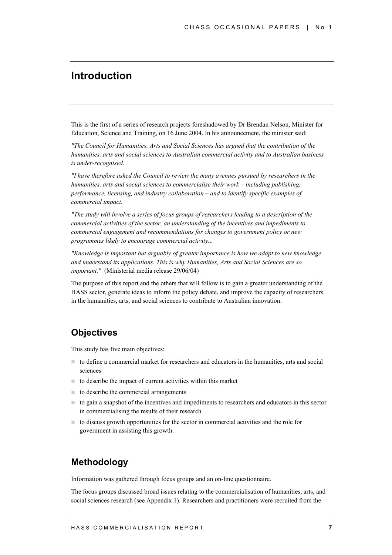## **Introduction**

This is the first of a series of research projects foreshadowed by Dr Brendan Nelson, Minister for Education, Science and Training, on 16 June 2004. In his announcement, the minister said:

*"The Council for Humanities, Arts and Social Sciences has argued that the contribution of the humanities, arts and social sciences to Australian commercial activity and to Australian business is under-recognised.*

*"I have therefore asked the Council to review the many avenues pursued by researchers in the humanities, arts and social sciences to commercialise their work – including publishing, performance, licensing, and industry collaboration – and to identify specific examples of commercial impact.*

*"The study will involve a series of focus groups of researchers leading to a description of the commercial activities of the sector, an understanding of the incentives and impediments to commercial engagement and recommendations for changes to government policy or new programmes likely to encourage commercial activity...*

*"Knowledge is important but arguably of greater importance is how we adapt to new knowledge and understand its applications. This is why Humanities, Arts and Social Sciences are so important."* (Ministerial media release 29/06/04)

The purpose of this report and the others that will follow is to gain a greater understanding of the HASS sector, generate ideas to inform the policy debate, and improve the capacity of researchers in the humanities, arts, and social sciences to contribute to Australian innovation.

### **Objectives**

This study has five main objectives:

- ! to define a commercial market for researchers and educators in the humanities, arts and social sciences
- $\blacksquare$  to describe the impact of current activities within this market
- $\blacksquare$  to describe the commercial arrangements
- ! to gain a snapshot of the incentives and impediments to researchers and educators in this sector in commercialising the results of their research
- ! to discuss growth opportunities for the sector in commercial activities and the role for government in assisting this growth.

## **Methodology**

Information was gathered through focus groups and an on-line questionnaire.

The focus groups discussed broad issues relating to the commercialisation of humanities, arts, and social sciences research (see Appendix 1). Researchers and practitioners were recruited from the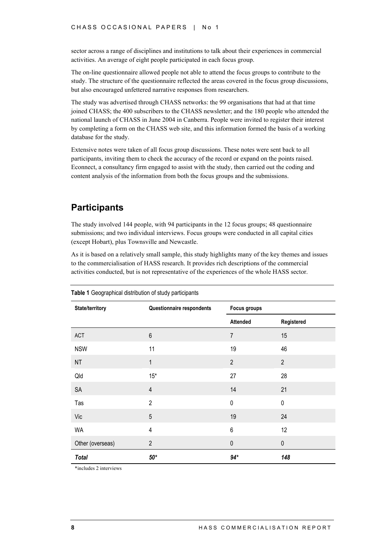sector across a range of disciplines and institutions to talk about their experiences in commercial activities. An average of eight people participated in each focus group.

The on-line questionnaire allowed people not able to attend the focus groups to contribute to the study. The structure of the questionnaire reflected the areas covered in the focus group discussions, but also encouraged unfettered narrative responses from researchers.

The study was advertised through CHASS networks: the 99 organisations that had at that time joined CHASS; the 400 subscribers to the CHASS newsletter; and the 180 people who attended the national launch of CHASS in June 2004 in Canberra. People were invited to register their interest by completing a form on the CHASS web site, and this information formed the basis of a working database for the study.

Extensive notes were taken of all focus group discussions. These notes were sent back to all participants, inviting them to check the accuracy of the record or expand on the points raised. Econnect, a consultancy firm engaged to assist with the study, then carried out the coding and content analysis of the information from both the focus groups and the submissions.

### **Participants**

The study involved 144 people, with 94 participants in the 12 focus groups; 48 questionnaire submissions; and two individual interviews. Focus groups were conducted in all capital cities (except Hobart), plus Townsville and Newcastle.

As it is based on a relatively small sample, this study highlights many of the key themes and issues to the commercialisation of HASS research. It provides rich descriptions of the commercial activities conducted, but is not representative of the experiences of the whole HASS sector.

| State/territory  | Questionnaire respondents | <b>Focus groups</b> |                |
|------------------|---------------------------|---------------------|----------------|
|                  |                           | Attended            | Registered     |
| ACT              | $\,6\,$                   | $\overline{7}$      | 15             |
| <b>NSW</b>       | 11                        | 19                  | 46             |
| NT               | 1                         | $\overline{2}$      | $\overline{2}$ |
| Qld              | $15*$                     | 27                  | 28             |
| SA               | $\overline{4}$            | 14                  | 21             |
| Tas              | $\overline{2}$            | $\pmb{0}$           | $\pmb{0}$      |
| Vic              | $\overline{5}$            | 19                  | 24             |
| <b>WA</b>        | $\overline{\mathbf{4}}$   | 6                   | 12             |
| Other (overseas) | $\overline{2}$            | $\mathbf 0$         | $\pmb{0}$      |
| <b>Total</b>     | $50*$                     | $94*$               | 148            |

**Table 1** Geographical distribution of study participants

\*includes 2 interviews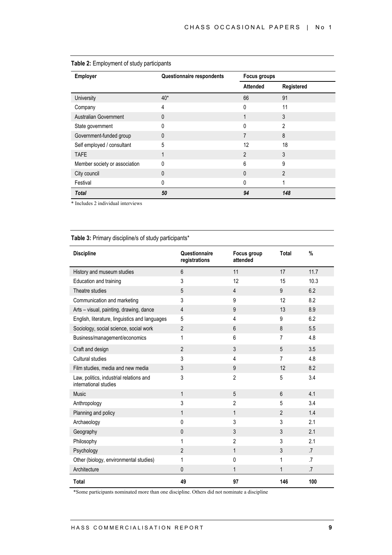| Employer                      | Questionnaire respondents |                 | Focus groups   |  |
|-------------------------------|---------------------------|-----------------|----------------|--|
|                               |                           | <b>Attended</b> | Registered     |  |
| University                    | $40*$                     | 66              | 91             |  |
| Company                       | 4                         | 0               | 11             |  |
| Australian Government         | 0                         |                 | 3              |  |
| State government              | O                         | N               | 2              |  |
| Government-funded group       | $\mathbf{0}$              |                 | 8              |  |
| Self employed / consultant    | 5                         | 12              | 18             |  |
| <b>TAFE</b>                   | 1                         | $\overline{2}$  | 3              |  |
| Member society or association | $\Omega$                  | 6               | 9              |  |
| City council                  | 0                         | 0               | $\overline{2}$ |  |
| Festival                      | 0                         | N               |                |  |
| <b>Total</b>                  | 50                        | 94              | 148            |  |

### **Table 2:** Employment of study participants

\* Includes 2 individual interviews

### **Table 3:** Primary discipline/s of study participants\*

| <b>Discipline</b>                                                | Questionnaire<br>registrations | Focus group<br>attended | <b>Total</b>   | $\frac{0}{0}$   |
|------------------------------------------------------------------|--------------------------------|-------------------------|----------------|-----------------|
| History and museum studies                                       | $6\phantom{1}$                 | 11                      | 17             | 11.7            |
| Education and training                                           | 3                              | 12                      | 15             | 10.3            |
| Theatre studies                                                  | 5                              | $\overline{4}$          | 9              | 6.2             |
| Communication and marketing                                      | 3                              | 9                       | 12             | 8.2             |
| Arts - visual, painting, drawing, dance                          | $\overline{4}$                 | 9                       | 13             | 8.9             |
| English, literature, linguistics and languages                   | 5                              | 4                       | 9              | 6.2             |
| Sociology, social science, social work                           | $\overline{2}$                 | 6                       | 8              | 5.5             |
| Business/management/economics                                    | 1                              | 6                       | 7              | 4.8             |
| Craft and design                                                 | $\overline{2}$                 | 3                       | 5              | 3.5             |
| Cultural studies                                                 | 3                              | 4                       | 7              | 4.8             |
| Film studies, media and new media                                | 3                              | 9                       | 12             | 8.2             |
| Law, politics, industrial relations and<br>international studies | 3                              | $\overline{2}$          | 5              | 3.4             |
| <b>Music</b>                                                     | 1                              | 5                       | 6              | 4.1             |
| Anthropology                                                     | 3                              | $\overline{2}$          | 5              | 3.4             |
| Planning and policy                                              | 1                              | $\mathbf{1}$            | $\overline{2}$ | 1.4             |
| Archaeology                                                      | $\Omega$                       | 3                       | 3              | 2.1             |
| Geography                                                        | $\mathbf{0}$                   | 3                       | 3              | 2.1             |
| Philosophy                                                       | 1                              | $\overline{2}$          | 3              | 2.1             |
| Psychology                                                       | $\overline{2}$                 | $\mathbf{1}$            | 3              | .7              |
| Other (biology, environmental studies)                           | 1                              | 0                       | 1              | $\cdot$ 7       |
| Architecture                                                     | $\mathbf{0}$                   | $\mathbf{1}$            | 1              | $\overline{.7}$ |
| <b>Total</b>                                                     | 49                             | 97                      | 146            | 100             |

\*Some participants nominated more than one discipline. Others did not nominate a discipline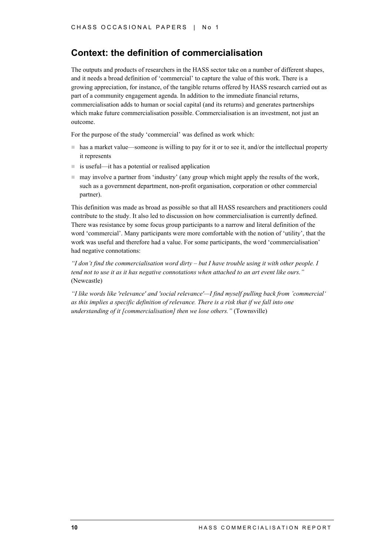### **Context: the definition of commercialisation**

The outputs and products of researchers in the HASS sector take on a number of different shapes, and it needs a broad definition of 'commercial' to capture the value of this work. There is a growing appreciation, for instance, of the tangible returns offered by HASS research carried out as part of a community engagement agenda. In addition to the immediate financial returns, commercialisation adds to human or social capital (and its returns) and generates partnerships which make future commercialisation possible. Commercialisation is an investment, not just an outcome.

For the purpose of the study 'commercial' was defined as work which:

- ! has a market value—someone is willing to pay for it or to see it, and/or the intellectual property it represents
- $\blacksquare$  is useful—it has a potential or realised application
- $\blacksquare$  may involve a partner from 'industry' (any group which might apply the results of the work, such as a government department, non-profit organisation, corporation or other commercial partner).

This definition was made as broad as possible so that all HASS researchers and practitioners could contribute to the study. It also led to discussion on how commercialisation is currently defined. There was resistance by some focus group participants to a narrow and literal definition of the word 'commercial'. Many participants were more comfortable with the notion of 'utility', that the work was useful and therefore had a value. For some participants, the word 'commercialisation' had negative connotations:

*"I don't find the commercialisation word dirty – but I have trouble using it with other people. I tend not to use it as it has negative connotations when attached to an art event like ours."* (Newcastle)

*"I like words like 'relevance' and 'social relevance'—I find myself pulling back from 'commercial' as this implies a specific definition of relevance. There is a risk that if we fall into one understanding of it [commercialisation] then we lose others."* (Townsville)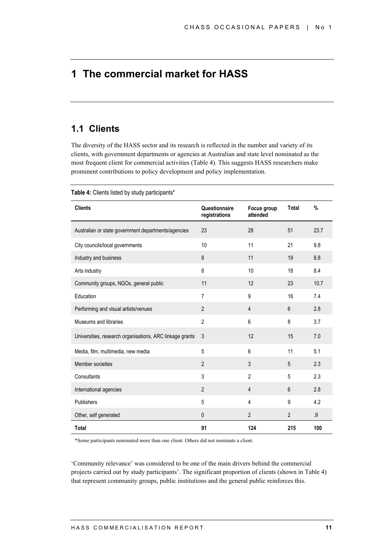# **1 The commercial market for HASS**

## **1.1 Clients**

The diversity of the HASS sector and its research is reflected in the number and variety of its clients, with government departments or agencies at Australian and state level nominated as the most frequent client for commercial activities (Table 4). This suggests HASS researchers make prominent contributions to policy development and policy implementation.

| <b>Clients</b>                                           | Questionnaire<br>registrations | Focus group<br>attended | Total          | $\%$ |
|----------------------------------------------------------|--------------------------------|-------------------------|----------------|------|
| Australian or state government departments/agencies      | 23                             | 28                      | 51             | 23.7 |
| City councils/local governments                          | 10                             | 11                      | 21             | 9.8  |
| Industry and business                                    | 8                              | 11                      | 19             | 8.8  |
| Arts industry                                            | 8                              | 10                      | 18             | 8.4  |
| Community groups, NGOs, general public                   | 11                             | 12                      | 23             | 10.7 |
| Education                                                | $\overline{7}$                 | 9                       | 16             | 7.4  |
| Performing and visual artists/venues                     | $\overline{2}$                 | $\overline{4}$          | $6\phantom{1}$ | 2.8  |
| Museums and libraries                                    | $\overline{2}$                 | 6                       | 8              | 3.7  |
| Universities, research organisations, ARC linkage grants | 3                              | 12                      | 15             | 7.0  |
| Media, film, multimedia, new media                       | 5                              | 6                       | 11             | 5.1  |
| Member societies                                         | $\overline{2}$                 | 3                       | 5              | 2.3  |
| Consultants                                              | 3                              | $\overline{2}$          | 5              | 2.3  |
| International agencies                                   | $\overline{2}$                 | 4                       | 6              | 2.8  |
| Publishers                                               | 5                              | 4                       | 9              | 4.2  |
| Other, self generated                                    | $\pmb{0}$                      | $\overline{2}$          | $\overline{2}$ | .9   |
| <b>Total</b>                                             | 91                             | 124                     | 215            | 100  |

**Table 4:** Clients listed by study participants\*

\*Some participants nominated more than one client. Others did not nominate a client.

'Community relevance' was considered to be one of the main drivers behind the commercial projects carried out by study participants'. The significant proportion of clients (shown in Table 4) that represent community groups, public institutions and the general public reinforces this.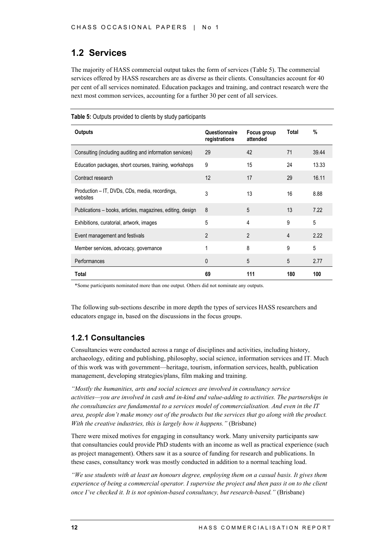## **1.2 Services**

The majority of HASS commercial output takes the form of services (Table 5). The commercial services offered by HASS researchers are as diverse as their clients. Consultancies account for 40 per cent of all services nominated. Education packages and training, and contract research were the next most common services, accounting for a further 30 per cent of all services.

#### **Table 5:** Outputs provided to clients by study participants

| <b>Outputs</b>                                             | Questionnaire<br>registrations | Focus group<br>attended | Total | %     |
|------------------------------------------------------------|--------------------------------|-------------------------|-------|-------|
| Consulting (including auditing and information services)   | 29                             | 42                      | 71    | 39.44 |
| Education packages, short courses, training, workshops     | 9                              | 15                      | 24    | 13.33 |
| Contract research                                          | 12                             | 17                      | 29    | 16.11 |
| Production – IT, DVDs, CDs, media, recordings,<br>websites | 3                              | 13                      | 16    | 8.88  |
| Publications – books, articles, magazines, editing, design | 8                              | 5                       | 13    | 7.22  |
| Exhibitions, curatorial, artwork, images                   | 5                              | 4                       | 9     | 5     |
| Event management and festivals                             | $\overline{2}$                 | 2                       | 4     | 2.22  |
| Member services, advocacy, governance                      | 1                              | 8                       | 9     | 5     |
| Performances                                               | 0                              | 5                       | 5     | 2.77  |
| Total                                                      | 69                             | 111                     | 180   | 100   |

\*Some participants nominated more than one output. Others did not nominate any outputs.

The following sub-sections describe in more depth the types of services HASS researchers and educators engage in, based on the discussions in the focus groups.

### **1.2.1 Consultancies**

Consultancies were conducted across a range of disciplines and activities, including history, archaeology, editing and publishing, philosophy, social science, information services and IT. Much of this work was with government—heritage, tourism, information services, health, publication management, developing strategies/plans, film making and training.

*"Mostly the humanities, arts and social sciences are involved in consultancy service activities—you are involved in cash and in-kind and value-adding to activities. The partnerships in the consultancies are fundamental to a services model of commercialisation. And even in the IT area, people don't make money out of the products but the services that go along with the product. With the creative industries, this is largely how it happens.*" *(Brisbane)* 

There were mixed motives for engaging in consultancy work. Many university participants saw that consultancies could provide PhD students with an income as well as practical experience (such as project management). Others saw it as a source of funding for research and publications. In these cases, consultancy work was mostly conducted in addition to a normal teaching load.

*"We use students with at least an honours degree, employing them on a casual basis. It gives them experience of being a commercial operator. I supervise the project and then pass it on to the client once I've checked it. It is not opinion-based consultancy, but research-based."* (Brisbane)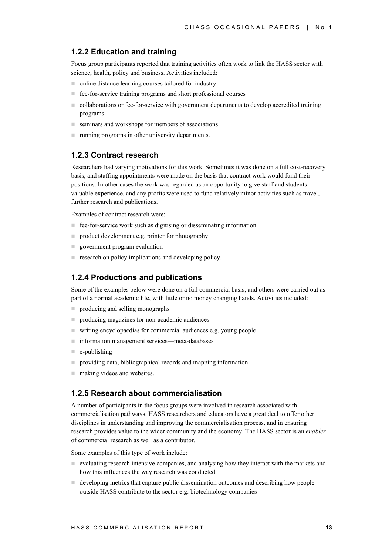### **1.2.2 Education and training**

Focus group participants reported that training activities often work to link the HASS sector with science, health, policy and business. Activities included:

- online distance learning courses tailored for industry
- ! fee-for-service training programs and short professional courses
- ! collaborations or fee-for-service with government departments to develop accredited training programs
- $\blacksquare$  seminars and workshops for members of associations
- **If** running programs in other university departments.

### **1.2.3 Contract research**

Researchers had varying motivations for this work. Sometimes it was done on a full cost-recovery basis, and staffing appointments were made on the basis that contract work would fund their positions. In other cases the work was regarded as an opportunity to give staff and students valuable experience, and any profits were used to fund relatively minor activities such as travel, further research and publications.

Examples of contract research were:

- fee-for-service work such as digitising or disseminating information
- **n** product development e.g. printer for photography
- **E** government program evaluation
- **Exerch on policy implications and developing policy.**

### **1.2.4 Productions and publications**

Some of the examples below were done on a full commercial basis, and others were carried out as part of a normal academic life, with little or no money changing hands. Activities included:

- producing and selling monographs
- **peroducing magazines for non-academic audiences**
- ! writing encyclopaedias for commercial audiences e.g. young people
- ! information management services—meta-databases
- $\equiv$  e-publishing
- ! providing data, bibliographical records and mapping information
- $\blacksquare$  making videos and websites.

### **1.2.5 Research about commercialisation**

A number of participants in the focus groups were involved in research associated with commercialisation pathways. HASS researchers and educators have a great deal to offer other disciplines in understanding and improving the commercialisation process, and in ensuring research provides value to the wider community and the economy. The HASS sector is an *enabler* of commercial research as well as a contributor.

Some examples of this type of work include:

- ! evaluating research intensive companies, and analysing how they interact with the markets and how this influences the way research was conducted
- $\blacksquare$  developing metrics that capture public dissemination outcomes and describing how people outside HASS contribute to the sector e.g. biotechnology companies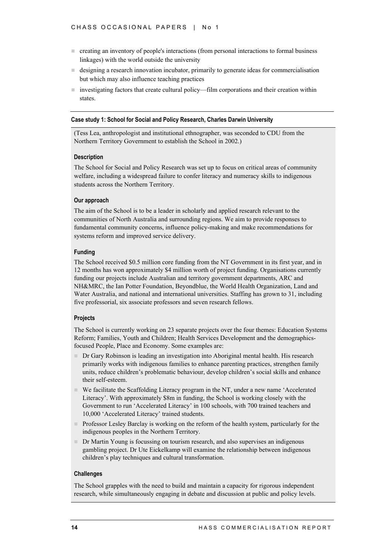- ! creating an inventory of people's interactions (from personal interactions to formal business linkages) with the world outside the university
- ! designing a research innovation incubator, primarily to generate ideas for commercialisation but which may also influence teaching practices
- investigating factors that create cultural policy—film corporations and their creation within states.

#### **Case study 1: School for Social and Policy Research, Charles Darwin University**

(Tess Lea, anthropologist and institutional ethnographer, was seconded to CDU from the Northern Territory Government to establish the School in 2002.)

#### **Description**

The School for Social and Policy Research was set up to focus on critical areas of community welfare, including a widespread failure to confer literacy and numeracy skills to indigenous students across the Northern Territory.

#### **Our approach**

The aim of the School is to be a leader in scholarly and applied research relevant to the communities of North Australia and surrounding regions. We aim to provide responses to fundamental community concerns, influence policy-making and make recommendations for systems reform and improved service delivery.

#### **Funding**

The School received \$0.5 million core funding from the NT Government in its first year, and in 12 months has won approximately \$4 million worth of project funding. Organisations currently funding our projects include Australian and territory government departments, ARC and NH&MRC, the Ian Potter Foundation, Beyondblue, the World Health Organization, Land and Water Australia, and national and international universities. Staffing has grown to 31, including five professorial, six associate professors and seven research fellows.

#### **Projects**

The School is currently working on 23 separate projects over the four themes: Education Systems Reform; Families, Youth and Children; Health Services Development and the demographicsfocused People, Place and Economy. Some examples are:

- ! Dr Gary Robinson is leading an investigation into Aboriginal mental health. His research primarily works with indigenous families to enhance parenting practices, strengthen family units, reduce children's problematic behaviour, develop children's social skills and enhance their self-esteem.
- ! We facilitate the Scaffolding Literacy program in the NT, under a new name 'Accelerated Literacy'. With approximately \$8m in funding, the School is working closely with the Government to run 'Accelerated Literacy' in 100 schools, with 700 trained teachers and 10,000 'Accelerated Literacy' trained students.
- **Professor Lesley Barclay is working on the reform of the health system, particularly for the** indigenous peoples in the Northern Territory.
- ! Dr Martin Young is focussing on tourism research, and also supervises an indigenous gambling project. Dr Ute Eickelkamp will examine the relationship between indigenous children's play techniques and cultural transformation.

#### **Challenges**

The School grapples with the need to build and maintain a capacity for rigorous independent research, while simultaneously engaging in debate and discussion at public and policy levels.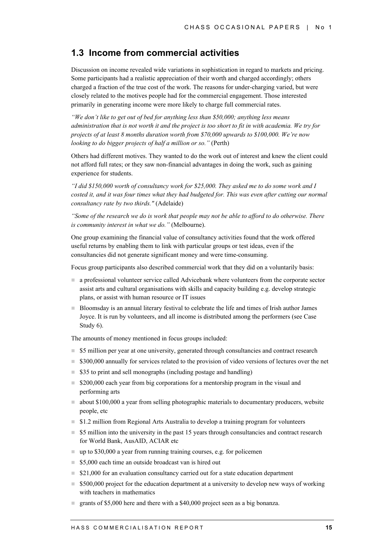### **1.3 Income from commercial activities**

Discussion on income revealed wide variations in sophistication in regard to markets and pricing. Some participants had a realistic appreciation of their worth and charged accordingly; others charged a fraction of the true cost of the work. The reasons for under-charging varied, but were closely related to the motives people had for the commercial engagement. Those interested primarily in generating income were more likely to charge full commercial rates.

*"We don't like to get out of bed for anything less than \$50,000; anything less means administration that is not worth it and the project is too short to fit in with academia. We try for projects of at least 8 months duration worth from \$70,000 upwards to \$100,000. We're now looking to do bigger projects of half a million or so.*" (Perth)

Others had different motives. They wanted to do the work out of interest and knew the client could not afford full rates; or they saw non-financial advantages in doing the work, such as gaining experience for students.

*"I did \$150,000 worth of consultancy work for \$25,000. They asked me to do some work and I costed it, and it was four times what they had budgeted for. This was even after cutting our normal consultancy rate by two thirds."* (Adelaide)

*"Some of the research we do is work that people may not be able to afford to do otherwise. There is community interest in what we do."* (Melbourne).

One group examining the financial value of consultancy activities found that the work offered useful returns by enabling them to link with particular groups or test ideas, even if the consultancies did not generate significant money and were time-consuming.

Focus group participants also described commercial work that they did on a voluntarily basis:

- ! a professional volunteer service called Advicebank where volunteers from the corporate sector assist arts and cultural organisations with skills and capacity building e.g. develop strategic plans, or assist with human resource or IT issues
- ! Bloomsday is an annual literary festival to celebrate the life and times of Irish author James Joyce. It is run by volunteers, and all income is distributed among the performers (see Case Study 6).

The amounts of money mentioned in focus groups included:

- $\blacksquare$  \$5 million per year at one university, generated through consultancies and contract research
- \$300,000 annually for services related to the provision of video versions of lectures over the net
- $\approx$  \$35 to print and sell monographs (including postage and handling)
- $\approx$  \$200,000 each year from big corporations for a mentorship program in the visual and performing arts
- ! about \$100,000 a year from selling photographic materials to documentary producers, website people, etc
- **1.2 million from Regional Arts Australia to develop a training program for volunteers**
- \$5 million into the university in the past 15 years through consultancies and contract research for World Bank, AusAID, ACIAR etc
- $\Box$  up to \$30,000 a year from running training courses, e.g. for policemen
- $\blacksquare$  **\$5,000 each time an outside broadcast van is hired out**
- $\approx$  \$21,000 for an evaluation consultancy carried out for a state education department
- $\blacksquare$  \$500,000 project for the education department at a university to develop new ways of working with teachers in mathematics
- ! grants of \$5,000 here and there with a \$40,000 project seen as a big bonanza.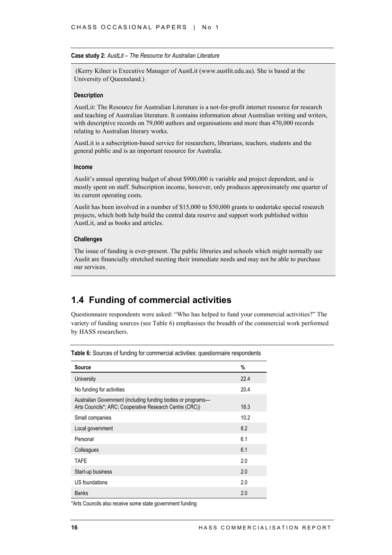#### **Case study 2:** *AustLit – The Resource for Australian Literature*

 (Kerry Kilner is Executive Manager of AustLit (www.austlit.edu.au). She is based at the University of Queensland.)

#### **Description**

AustLit: The Resource for Australian Literature is a not-for-profit internet resource for research and teaching of Australian literature. It contains information about Australian writing and writers, with descriptive records on 79,000 authors and organisations and more than 470,000 records relating to Australian literary works.

AustLit is a subscription-based service for researchers, librarians, teachers, students and the general public and is an important resource for Australia.

#### **Income**

Auslit's annual operating budget of about \$900,000 is variable and project dependent, and is mostly spent on staff. Subscription income, however, only produces approximately one quarter of its current operating costs.

Auslit has been involved in a number of \$15,000 to \$50,000 grants to undertake special research projects, which both help build the central data reserve and support work published within AustLit, and as books and articles.

#### **Challenges**

The issue of funding is ever-present. The public libraries and schools which might normally use Auslit are financially stretched meeting their immediate needs and may not be able to purchase our services.

### **1.4 Funding of commercial activities**

Questionnaire respondents were asked: "Who has helped to fund your commercial activities?" The variety of funding sources (see Table 6) emphasises the breadth of the commercial work performed by HASS researchers.

| <b>Source</b>                                                                                                           | %    |
|-------------------------------------------------------------------------------------------------------------------------|------|
| University                                                                                                              | 22.4 |
| No funding for activities                                                                                               | 20.4 |
| Australian Government (including funding bodies or programs-<br>Arts Councils*; ARC; Cooperative Research Centre (CRC)) | 18.3 |
| Small companies                                                                                                         | 10.2 |
| Local government                                                                                                        | 8.2  |
| Personal                                                                                                                | 6.1  |
| Colleagues                                                                                                              | 6.1  |
| TAFE                                                                                                                    | 2.0  |
| Start-up business                                                                                                       | 2.0  |
| US foundations                                                                                                          | 2.0  |
| <b>Banks</b>                                                                                                            | 2.0  |

**Table 6:** Sources of funding for commercial activities: questionnaire respondents

\*Arts Councils also receive some state government funding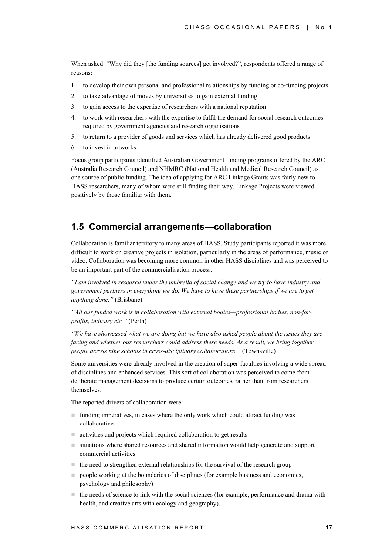When asked: "Why did they [the funding sources] get involved?", respondents offered a range of reasons:

- 1. to develop their own personal and professional relationships by funding or co-funding projects
- 2. to take advantage of moves by universities to gain external funding
- 3. to gain access to the expertise of researchers with a national reputation
- 4. to work with researchers with the expertise to fulfil the demand for social research outcomes required by government agencies and research organisations
- 5. to return to a provider of goods and services which has already delivered good products
- 6. to invest in artworks.

Focus group participants identified Australian Government funding programs offered by the ARC (Australia Research Council) and NHMRC (National Health and Medical Research Council) as one source of public funding. The idea of applying for ARC Linkage Grants was fairly new to HASS researchers, many of whom were still finding their way. Linkage Projects were viewed positively by those familiar with them.

### **1.5 Commercial arrangements—collaboration**

Collaboration is familiar territory to many areas of HASS. Study participants reported it was more difficult to work on creative projects in isolation, particularly in the areas of performance, music or video. Collaboration was becoming more common in other HASS disciplines and was perceived to be an important part of the commercialisation process:

*"I am involved in research under the umbrella of social change and we try to have industry and government partners in everything we do. We have to have these partnerships if we are to get anything done."* (Brisbane)

*"All our funded work is in collaboration with external bodies—professional bodies, non-forprofits, industry etc."* (Perth)

*"We have showcased what we are doing but we have also asked people about the issues they are facing and whether our researchers could address these needs. As a result, we bring together people across nine schools in cross-disciplinary collaborations."* (Townsville)

Some universities were already involved in the creation of super-faculties involving a wide spread of disciplines and enhanced services. This sort of collaboration was perceived to come from deliberate management decisions to produce certain outcomes, rather than from researchers themselves.

The reported drivers of collaboration were:

- ! funding imperatives, in cases where the only work which could attract funding was collaborative
- activities and projects which required collaboration to get results
- ! situations where shared resources and shared information would help generate and support commercial activities
- $\blacksquare$  the need to strengthen external relationships for the survival of the research group
- $\Box$  people working at the boundaries of disciplines (for example business and economics, psychology and philosophy)
- $\blacksquare$  the needs of science to link with the social sciences (for example, performance and drama with health, and creative arts with ecology and geography).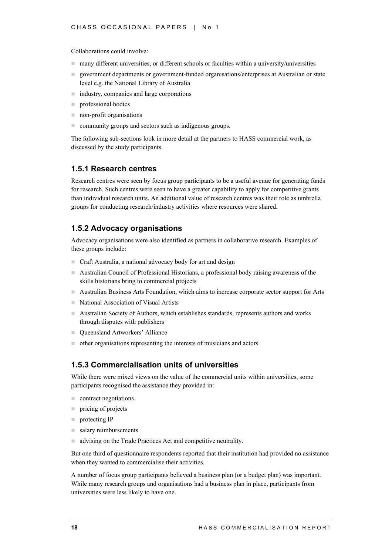Collaborations could involve:

- many different universities, or different schools or faculties within a university/universities
- ! government departments or government-funded organisations/enterprises at Australian or state level e.g. the National Library of Australia
- industry, companies and large corporations
- $\blacksquare$  professional bodies
- non-profit organisations
- ! community groups and sectors such as indigenous groups.

The following sub-sections look in more detail at the partners to HASS commercial work, as discussed by the study participants.

### **1.5.1 Research centres**

Research centres were seen by focus group participants to be a useful avenue for generating funds for research. Such centres were seen to have a greater capability to apply for competitive grants than individual research units. An additional value of research centres was their role as umbrella groups for conducting research/industry activities where resources were shared.

### **1.5.2 Advocacy organisations**

Advocacy organisations were also identified as partners in collaborative research. Examples of these groups include:

- ! Craft Australia, a national advocacy body for art and design
- ! Australian Council of Professional Historians, a professional body raising awareness of the skills historians bring to commercial projects
- ! Australian Business Arts Foundation, which aims to increase corporate sector support for Arts
- ! National Association of Visual Artists
- ! Australian Society of Authors, which establishes standards, represents authors and works through disputes with publishers
- Queensland Artworkers' Alliance
- ! other organisations representing the interests of musicians and actors.

### **1.5.3 Commercialisation units of universities**

While there were mixed views on the value of the commercial units within universities, some participants recognised the assistance they provided in:

- $\blacksquare$  contract negotiations
- $\blacksquare$  pricing of projects
- **protecting IP**
- salary reimbursements
- advising on the Trade Practices Act and competitive neutrality.

But one third of questionnaire respondents reported that their institution had provided no assistance when they wanted to commercialise their activities.

A number of focus group participants believed a business plan (or a budget plan) was important. While many research groups and organisations had a business plan in place, participants from universities were less likely to have one.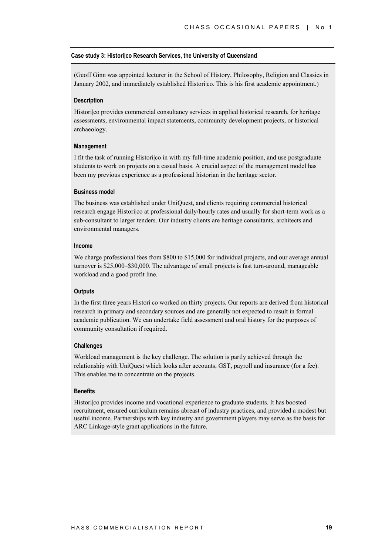#### **Case study 3: Histori|co Research Services, the University of Queensland**

(Geoff Ginn was appointed lecturer in the School of History, Philosophy, Religion and Classics in January 2002, and immediately established Historilco. This is his first academic appointment.)

#### **Description**

Histori|co provides commercial consultancy services in applied historical research, for heritage assessments, environmental impact statements, community development projects, or historical archaeology.

#### **Management**

I fit the task of running Histori|co in with my full-time academic position, and use postgraduate students to work on projects on a casual basis. A crucial aspect of the management model has been my previous experience as a professional historian in the heritage sector.

#### **Business model**

The business was established under UniQuest, and clients requiring commercial historical research engage Histori|co at professional daily/hourly rates and usually for short-term work as a sub-consultant to larger tenders. Our industry clients are heritage consultants, architects and environmental managers.

#### **Income**

We charge professional fees from \$800 to \$15,000 for individual projects, and our average annual turnover is \$25,000–\$30,000. The advantage of small projects is fast turn-around, manageable workload and a good profit line.

#### **Outputs**

In the first three years Histori|co worked on thirty projects. Our reports are derived from historical research in primary and secondary sources and are generally not expected to result in formal academic publication. We can undertake field assessment and oral history for the purposes of community consultation if required.

#### **Challenges**

Workload management is the key challenge. The solution is partly achieved through the relationship with UniQuest which looks after accounts, GST, payroll and insurance (for a fee). This enables me to concentrate on the projects.

#### **Benefits**

Histori|co provides income and vocational experience to graduate students. It has boosted recruitment, ensured curriculum remains abreast of industry practices, and provided a modest but useful income. Partnerships with key industry and government players may serve as the basis for ARC Linkage-style grant applications in the future.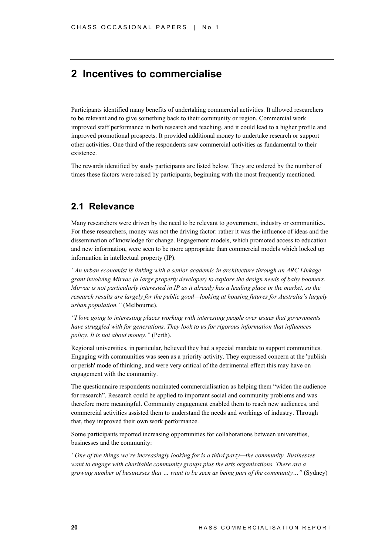## **2 Incentives to commercialise**

Participants identified many benefits of undertaking commercial activities. It allowed researchers to be relevant and to give something back to their community or region. Commercial work improved staff performance in both research and teaching, and it could lead to a higher profile and improved promotional prospects. It provided additional money to undertake research or support other activities. One third of the respondents saw commercial activities as fundamental to their existence.

The rewards identified by study participants are listed below. They are ordered by the number of times these factors were raised by participants, beginning with the most frequently mentioned.

### **2.1 Relevance**

Many researchers were driven by the need to be relevant to government, industry or communities. For these researchers, money was not the driving factor: rather it was the influence of ideas and the dissemination of knowledge for change. Engagement models, which promoted access to education and new information, were seen to be more appropriate than commercial models which locked up information in intellectual property (IP).

*"An urban economist is linking with a senior academic in architecture through an ARC Linkage grant involving Mirvac (a large property developer) to explore the design needs of baby boomers. Mirvac is not particularly interested in IP as it already has a leading place in the market, so the research results are largely for the public good—looking at housing futures for Australia's largely urban population."* (Melbourne).

*"I love going to interesting places working with interesting people over issues that governments have struggled with for generations. They look to us for rigorous information that influences policy. It is not about money."* (Perth).

Regional universities, in particular, believed they had a special mandate to support communities. Engaging with communities was seen as a priority activity. They expressed concern at the 'publish or perish' mode of thinking, and were very critical of the detrimental effect this may have on engagement with the community.

The questionnaire respondents nominated commercialisation as helping them "widen the audience for research". Research could be applied to important social and community problems and was therefore more meaningful. Community engagement enabled them to reach new audiences, and commercial activities assisted them to understand the needs and workings of industry. Through that, they improved their own work performance.

Some participants reported increasing opportunities for collaborations between universities, businesses and the community:

*"One of the things we're increasingly looking for is a third party—the community. Businesses want to engage with charitable community groups plus the arts organisations. There are a growing number of businesses that … want to be seen as being part of the community…"* (Sydney)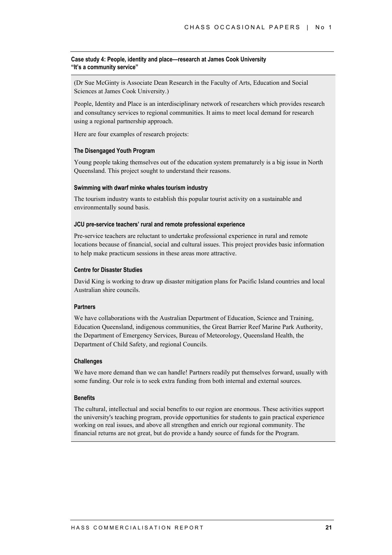#### **Case study 4: People, identity and place—research at James Cook University "It's a community service"**

(Dr Sue McGinty is Associate Dean Research in the Faculty of Arts, Education and Social Sciences at James Cook University.)

People, Identity and Place is an interdisciplinary network of researchers which provides research and consultancy services to regional communities. It aims to meet local demand for research using a regional partnership approach.

Here are four examples of research projects:

#### **The Disengaged Youth Program**

Young people taking themselves out of the education system prematurely is a big issue in North Queensland. This project sought to understand their reasons.

#### **Swimming with dwarf minke whales tourism industry**

The tourism industry wants to establish this popular tourist activity on a sustainable and environmentally sound basis.

#### **JCU pre-service teachers' rural and remote professional experience**

Pre-service teachers are reluctant to undertake professional experience in rural and remote locations because of financial, social and cultural issues. This project provides basic information to help make practicum sessions in these areas more attractive.

#### **Centre for Disaster Studies**

David King is working to draw up disaster mitigation plans for Pacific Island countries and local Australian shire councils.

#### **Partners**

We have collaborations with the Australian Department of Education, Science and Training, Education Queensland, indigenous communities, the Great Barrier Reef Marine Park Authority, the Department of Emergency Services, Bureau of Meteorology, Queensland Health, the Department of Child Safety, and regional Councils.

#### **Challenges**

We have more demand than we can handle! Partners readily put themselves forward, usually with some funding. Our role is to seek extra funding from both internal and external sources.

#### **Benefits**

The cultural, intellectual and social benefits to our region are enormous. These activities support the university's teaching program, provide opportunities for students to gain practical experience working on real issues, and above all strengthen and enrich our regional community. The financial returns are not great, but do provide a handy source of funds for the Program.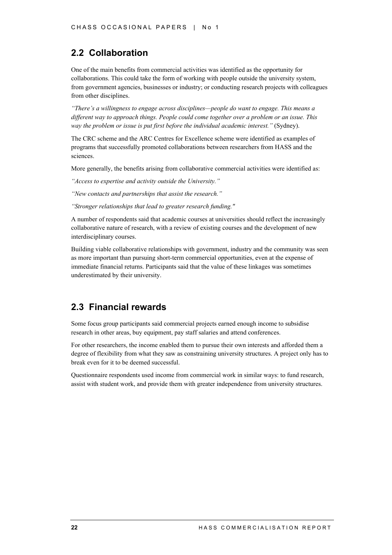## **2.2 Collaboration**

One of the main benefits from commercial activities was identified as the opportunity for collaborations. This could take the form of working with people outside the university system, from government agencies, businesses or industry; or conducting research projects with colleagues from other disciplines.

*"There's a willingness to engage across disciplines—people do want to engage. This means a different way to approach things. People could come together over a problem or an issue. This way the problem or issue is put first before the individual academic interest."* (Sydney).

The CRC scheme and the ARC Centres for Excellence scheme were identified as examples of programs that successfully promoted collaborations between researchers from HASS and the sciences.

More generally, the benefits arising from collaborative commercial activities were identified as:

*"Access to expertise and activity outside the University."*

*"New contacts and partnerships that assist the research."*

*"Stronger relationships that lead to greater research funding."*

A number of respondents said that academic courses at universities should reflect the increasingly collaborative nature of research, with a review of existing courses and the development of new interdisciplinary courses.

Building viable collaborative relationships with government, industry and the community was seen as more important than pursuing short-term commercial opportunities, even at the expense of immediate financial returns. Participants said that the value of these linkages was sometimes underestimated by their university.

## **2.3 Financial rewards**

Some focus group participants said commercial projects earned enough income to subsidise research in other areas, buy equipment, pay staff salaries and attend conferences.

For other researchers, the income enabled them to pursue their own interests and afforded them a degree of flexibility from what they saw as constraining university structures. A project only has to break even for it to be deemed successful.

Questionnaire respondents used income from commercial work in similar ways: to fund research, assist with student work, and provide them with greater independence from university structures.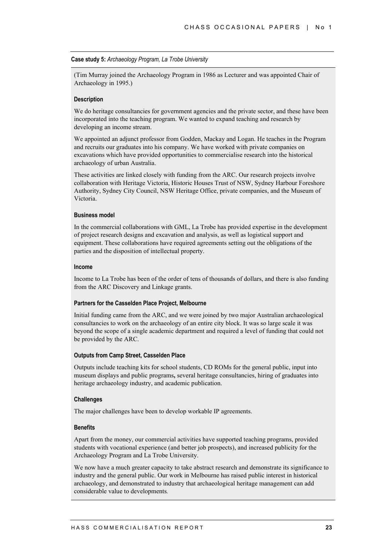#### **Case study 5:** *Archaeology Program, La Trobe University*

(Tim Murray joined the Archaeology Program in 1986 as Lecturer and was appointed Chair of Archaeology in 1995.)

#### **Description**

We do heritage consultancies for government agencies and the private sector, and these have been incorporated into the teaching program. We wanted to expand teaching and research by developing an income stream.

We appointed an adjunct professor from Godden, Mackay and Logan. He teaches in the Program and recruits our graduates into his company. We have worked with private companies on excavations which have provided opportunities to commercialise research into the historical archaeology of urban Australia.

These activities are linked closely with funding from the ARC. Our research projects involve collaboration with Heritage Victoria, Historic Houses Trust of NSW, Sydney Harbour Foreshore Authority, Sydney City Council, NSW Heritage Office, private companies, and the Museum of Victoria.

#### **Business model**

In the commercial collaborations with GML, La Trobe has provided expertise in the development of project research designs and excavation and analysis, as well as logistical support and equipment. These collaborations have required agreements setting out the obligations of the parties and the disposition of intellectual property.

#### **Income**

Income to La Trobe has been of the order of tens of thousands of dollars, and there is also funding from the ARC Discovery and Linkage grants.

#### **Partners for the Casselden Place Project, Melbourne**

Initial funding came from the ARC, and we were joined by two major Australian archaeological consultancies to work on the archaeology of an entire city block. It was so large scale it was beyond the scope of a single academic department and required a level of funding that could not be provided by the ARC.

#### **Outputs from Camp Street, Casselden Place**

Outputs include teaching kits for school students, CD ROMs for the general public, input into museum displays and public programs, several heritage consultancies, hiring of graduates into heritage archaeology industry, and academic publication.

### **Challenges**

The major challenges have been to develop workable IP agreements.

#### **Benefits**

Apart from the money, our commercial activities have supported teaching programs, provided students with vocational experience (and better job prospects), and increased publicity for the Archaeology Program and La Trobe University.

We now have a much greater capacity to take abstract research and demonstrate its significance to industry and the general public. Our work in Melbourne has raised public interest in historical archaeology, and demonstrated to industry that archaeological heritage management can add considerable value to developments*.*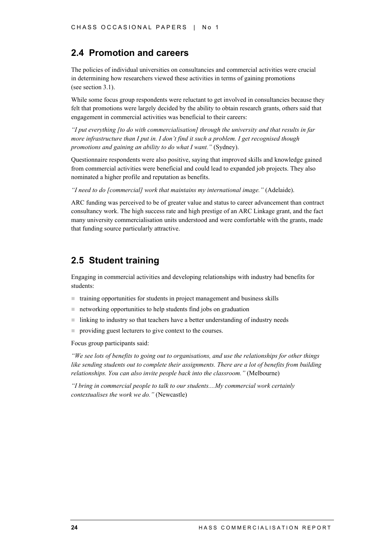### **2.4 Promotion and careers**

The policies of individual universities on consultancies and commercial activities were crucial in determining how researchers viewed these activities in terms of gaining promotions (see section 3.1).

While some focus group respondents were reluctant to get involved in consultancies because they felt that promotions were largely decided by the ability to obtain research grants, others said that engagement in commercial activities was beneficial to their careers:

*"I put everything [to do with commercialisation] through the university and that results in far more infrastructure than I put in. I don't find it such a problem. I get recognised though promotions and gaining an ability to do what I want."* (Sydney).

Questionnaire respondents were also positive, saying that improved skills and knowledge gained from commercial activities were beneficial and could lead to expanded job projects. They also nominated a higher profile and reputation as benefits.

*"I need to do [commercial] work that maintains my international image."* (Adelaide).

ARC funding was perceived to be of greater value and status to career advancement than contract consultancy work. The high success rate and high prestige of an ARC Linkage grant, and the fact many university commercialisation units understood and were comfortable with the grants, made that funding source particularly attractive.

### **2.5 Student training**

Engaging in commercial activities and developing relationships with industry had benefits for students:

- $\blacksquare$  training opportunities for students in project management and business skills
- $\blacksquare$  networking opportunities to help students find jobs on graduation
- $\blacksquare$  linking to industry so that teachers have a better understanding of industry needs
- **per providing guest lecturers to give context to the courses.**

Focus group participants said:

*"We see lots of benefits to going out to organisations, and use the relationships for other things like sending students out to complete their assignments. There are a lot of benefits from building relationships. You can also invite people back into the classroom."* (Melbourne)

*"I bring in commercial people to talk to our students....My commercial work certainly contextualises the work we do."* (Newcastle)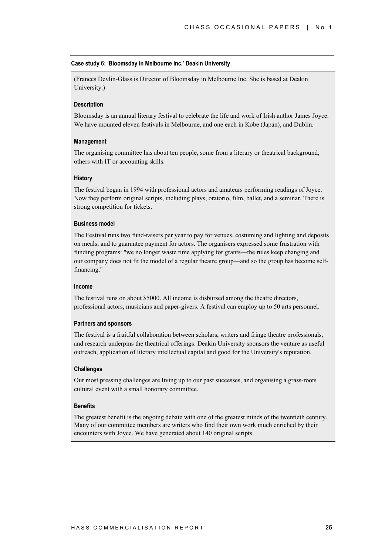#### **Case study 6: 'Bloomsday in Melbourne Inc.' Deakin University**

(Frances Devlin-Glass is Director of Bloomsday in Melbourne Inc. She is based at Deakin University.)

#### **Description**

Bloomsday is an annual literary festival to celebrate the life and work of Irish author James Joyce. We have mounted eleven festivals in Melbourne, and one each in Kobe (Japan), and Dublin.

#### **Management**

The organising committee has about ten people, some from a literary or theatrical background, others with IT or accounting skills.

#### **History**

The festival began in 1994 with professional actors and amateurs performing readings of Joyce. Now they perform original scripts, including plays, oratorio, film, ballet, and a seminar. There is strong competition for tickets.

#### **Business model**

The Festival runs two fund-raisers per year to pay for venues, costuming and lighting and deposits on meals; and to guarantee payment for actors. The organisers expressed some frustration with funding programs: "we no longer waste time applying for grants—the rules keep changing and our company does not fit the model of a regular theatre group—and so the group has become selffinancing."

#### **Income**

The festival runs on about \$5000. All income is disbursed among the theatre directors, professional actors, musicians and paper-givers. A festival can employ up to 50 arts personnel.

#### **Partners and sponsors**

The festival is a fruitful collaboration between scholars, writers and fringe theatre professionals, and research underpins the theatrical offerings. Deakin University sponsors the venture as useful outreach, application of literary intellectual capital and good for the University's reputation.

#### **Challenges**

Our most pressing challenges are living up to our past successes, and organising a grass-roots cultural event with a small honorary committee.

#### **Benefits**

The greatest benefit is the ongoing debate with one of the greatest minds of the twentieth century. Many of our committee members are writers who find their own work much enriched by their encounters with Joyce. We have generated about 140 original scripts.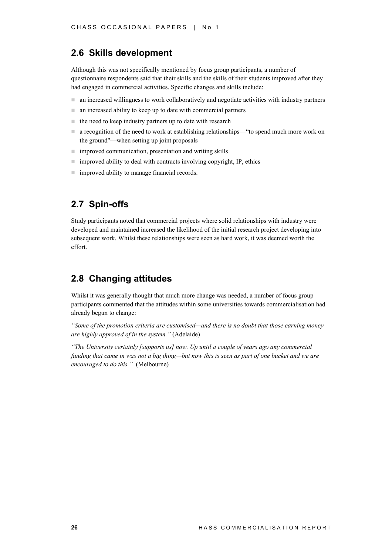### **2.6 Skills development**

Although this was not specifically mentioned by focus group participants, a number of questionnaire respondents said that their skills and the skills of their students improved after they had engaged in commercial activities. Specific changes and skills include:

- $\blacksquare$  an increased willingness to work collaboratively and negotiate activities with industry partners
- ! an increased ability to keep up to date with commercial partners
- $\blacksquare$  the need to keep industry partners up to date with research
- a recognition of the need to work at establishing relationships—"to spend much more work on the ground"—when setting up joint proposals
- ! improved communication, presentation and writing skills
- $\blacksquare$  improved ability to deal with contracts involving copyright, IP, ethics
- improved ability to manage financial records.

## **2.7 Spin-offs**

Study participants noted that commercial projects where solid relationships with industry were developed and maintained increased the likelihood of the initial research project developing into subsequent work. Whilst these relationships were seen as hard work, it was deemed worth the effort.

## **2.8 Changing attitudes**

Whilst it was generally thought that much more change was needed, a number of focus group participants commented that the attitudes within some universities towards commercialisation had already begun to change:

*"Some of the promotion criteria are customised—and there is no doubt that those earning money are highly approved of in the system."* (Adelaide)

*"The University certainly [supports us] now. Up until a couple of years ago any commercial funding that came in was not a big thing—but now this is seen as part of one bucket and we are encouraged to do this."* (Melbourne)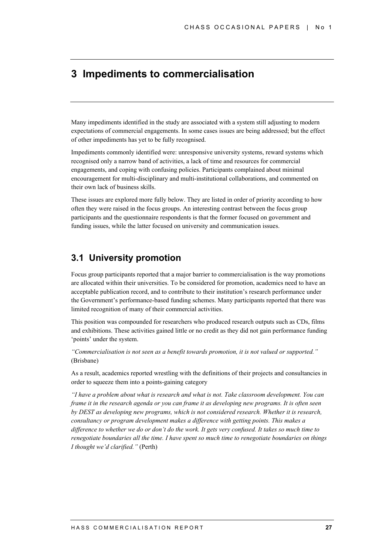## **3 Impediments to commercialisation**

Many impediments identified in the study are associated with a system still adjusting to modern expectations of commercial engagements. In some cases issues are being addressed; but the effect of other impediments has yet to be fully recognised.

Impediments commonly identified were: unresponsive university systems, reward systems which recognised only a narrow band of activities, a lack of time and resources for commercial engagements, and coping with confusing policies. Participants complained about minimal encouragement for multi-disciplinary and multi-institutional collaborations, and commented on their own lack of business skills.

These issues are explored more fully below. They are listed in order of priority according to how often they were raised in the focus groups. An interesting contrast between the focus group participants and the questionnaire respondents is that the former focused on government and funding issues, while the latter focused on university and communication issues.

### **3.1 University promotion**

Focus group participants reported that a major barrier to commercialisation is the way promotions are allocated within their universities. To be considered for promotion, academics need to have an acceptable publication record, and to contribute to their institution's research performance under the Government's performance-based funding schemes. Many participants reported that there was limited recognition of many of their commercial activities.

This position was compounded for researchers who produced research outputs such as CDs, films and exhibitions. These activities gained little or no credit as they did not gain performance funding 'points' under the system.

*"Commercialisation is not seen as a benefit towards promotion, it is not valued or supported."* (Brisbane)

As a result, academics reported wrestling with the definitions of their projects and consultancies in order to squeeze them into a points-gaining category

*"I have a problem about what is research and what is not. Take classroom development. You can frame it in the research agenda or you can frame it as developing new programs. It is often seen by DEST as developing new programs, which is not considered research. Whether it is research, consultancy or program development makes a difference with getting points. This makes a difference to whether we do or don't do the work. It gets very confused. It takes so much time to renegotiate boundaries all the time. I have spent so much time to renegotiate boundaries on things I thought we'd clarified."* (Perth)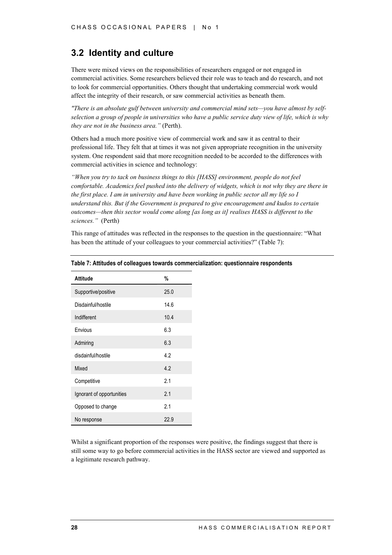### **3.2 Identity and culture**

There were mixed views on the responsibilities of researchers engaged or not engaged in commercial activities. Some researchers believed their role was to teach and do research, and not to look for commercial opportunities. Others thought that undertaking commercial work would affect the integrity of their research, or saw commercial activities as beneath them.

*"There is an absolute gulf between university and commercial mind sets—you have almost by selfselection a group of people in universities who have a public service duty view of life, which is why they are not in the business area."* (Perth).

Others had a much more positive view of commercial work and saw it as central to their professional life. They felt that at times it was not given appropriate recognition in the university system. One respondent said that more recognition needed to be accorded to the differences with commercial activities in science and technology:

*"When you try to tack on business things to this [HASS] environment, people do not feel comfortable. Academics feel pushed into the delivery of widgets, which is not why they are there in the first place. I am in university and have been working in public sector all my life so I understand this. But if the Government is prepared to give encouragement and kudos to certain outcomes—then this sector would come along [as long as it] realises HASS is different to the sciences."* (Perth)

This range of attitudes was reflected in the responses to the question in the questionnaire: "What has been the attitude of your colleagues to your commercial activities?" (Table 7):

| Attitude                  | %    |
|---------------------------|------|
| Supportive/positive       | 25.0 |
| Disdainful/hostile        | 14.6 |
| Indifferent               | 10.4 |
| <b>Fnvious</b>            | 6.3  |
| Admiring                  | 6.3  |
| disdainful/hostile        | 4.2  |
| Mixed                     | 4.2  |
| Competitive               | 2.1  |
| Ignorant of opportunities | 2.1  |
| Opposed to change         | 2.1  |
| No response               | 22.9 |

#### **Table 7: Attitudes of colleagues towards commercialization: questionnaire respondents**

Whilst a significant proportion of the responses were positive, the findings suggest that there is still some way to go before commercial activities in the HASS sector are viewed and supported as a legitimate research pathway.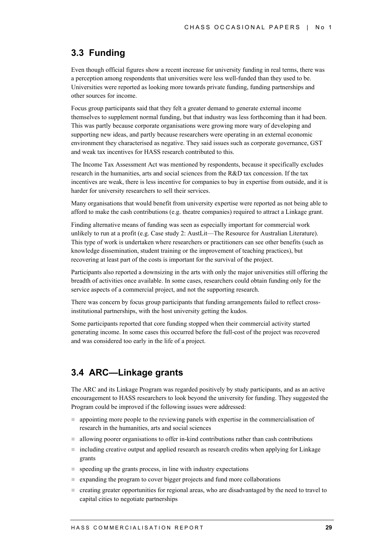### **3.3 Funding**

Even though official figures show a recent increase for university funding in real terms, there was a perception among respondents that universities were less well-funded than they used to be. Universities were reported as looking more towards private funding, funding partnerships and other sources for income.

Focus group participants said that they felt a greater demand to generate external income themselves to supplement normal funding, but that industry was less forthcoming than it had been. This was partly because corporate organisations were growing more wary of developing and supporting new ideas, and partly because researchers were operating in an external economic environment they characterised as negative. They said issues such as corporate governance, GST and weak tax incentives for HASS research contributed to this.

The Income Tax Assessment Act was mentioned by respondents, because it specifically excludes research in the humanities, arts and social sciences from the R&D tax concession. If the tax incentives are weak, there is less incentive for companies to buy in expertise from outside, and it is harder for university researchers to sell their services.

Many organisations that would benefit from university expertise were reported as not being able to afford to make the cash contributions (e.g. theatre companies) required to attract a Linkage grant.

Finding alternative means of funding was seen as especially important for commercial work unlikely to run at a profit (e.g. Case study 2: AustLit—The Resource for Australian Literature). This type of work is undertaken where researchers or practitioners can see other benefits (such as knowledge dissemination, student training or the improvement of teaching practices), but recovering at least part of the costs is important for the survival of the project.

Participants also reported a downsizing in the arts with only the major universities still offering the breadth of activities once available. In some cases, researchers could obtain funding only for the service aspects of a commercial project, and not the supporting research.

There was concern by focus group participants that funding arrangements failed to reflect crossinstitutional partnerships, with the host university getting the kudos.

Some participants reported that core funding stopped when their commercial activity started generating income. In some cases this occurred before the full-cost of the project was recovered and was considered too early in the life of a project.

## **3.4 ARC—Linkage grants**

The ARC and its Linkage Program was regarded positively by study participants, and as an active encouragement to HASS researchers to look beyond the university for funding. They suggested the Program could be improved if the following issues were addressed:

- ! appointing more people to the reviewing panels with expertise in the commercialisation of research in the humanities, arts and social sciences
- $\blacksquare$  allowing poorer organisations to offer in-kind contributions rather than cash contributions
- including creative output and applied research as research credits when applying for Linkage grants
- $\Box$  speeding up the grants process, in line with industry expectations
- ! expanding the program to cover bigger projects and fund more collaborations
- ! creating greater opportunities for regional areas, who are disadvantaged by the need to travel to capital cities to negotiate partnerships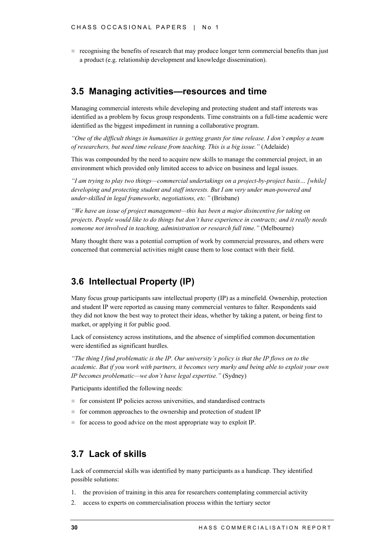**If** recognising the benefits of research that may produce longer term commercial benefits than just a product (e.g. relationship development and knowledge dissemination).

### **3.5 Managing activities—resources and time**

Managing commercial interests while developing and protecting student and staff interests was identified as a problem by focus group respondents. Time constraints on a full-time academic were identified as the biggest impediment in running a collaborative program.

*"One of the difficult things in humanities is getting grants for time release. I don't employ a team of researchers, but need time release from teaching. This is a big issue."* (Adelaide)

This was compounded by the need to acquire new skills to manage the commercial project, in an environment which provided only limited access to advice on business and legal issues.

*"I am trying to play two things—commercial undertakings on a project-by-project basis… [while] developing and protecting student and staff interests. But I am very under man-powered and under-skilled in legal frameworks, negotiations, etc."* (Brisbane)

*"We have an issue of project management—this has been a major disincentive for taking on projects. People would like to do things but don't have experience in contracts; and it really needs someone not involved in teaching, administration or research full time."* (Melbourne)

Many thought there was a potential corruption of work by commercial pressures, and others were concerned that commercial activities might cause them to lose contact with their field.

### **3.6 Intellectual Property (IP)**

Many focus group participants saw intellectual property (IP) as a minefield. Ownership, protection and student IP were reported as causing many commercial ventures to falter. Respondents said they did not know the best way to protect their ideas, whether by taking a patent, or being first to market, or applying it for public good.

Lack of consistency across institutions, and the absence of simplified common documentation were identified as significant hurdles.

*"The thing I find problematic is the IP. Our university's policy is that the IP flows on to the academic. But if you work with partners, it becomes very murky and being able to exploit your own IP becomes problematic—we don't have legal expertise."* (Sydney)

Participants identified the following needs:

- $\blacksquare$  for consistent IP policies across universities, and standardised contracts
- for common approaches to the ownership and protection of student IP
- $\blacksquare$  for access to good advice on the most appropriate way to exploit IP.

### **3.7 Lack of skills**

Lack of commercial skills was identified by many participants as a handicap. They identified possible solutions:

- 1. the provision of training in this area for researchers contemplating commercial activity
- 2. access to experts on commercialisation process within the tertiary sector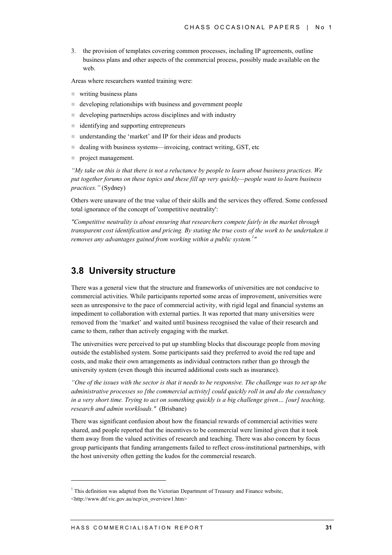3. the provision of templates covering common processes, including IP agreements, outline business plans and other aspects of the commercial process, possibly made available on the web.

Areas where researchers wanted training were:

- writing business plans
- ! developing relationships with business and government people
- $\blacksquare$  developing partnerships across disciplines and with industry
- $\blacksquare$  identifying and supporting entrepreneurs
- ! understanding the 'market' and IP for their ideas and products
- $\blacksquare$  dealing with business systems—invoicing, contract writing, GST, etc
- **project management.**

*"My take on this is that there is not a reluctance by people to learn about business practices. We put together forums on these topics and these fill up very quickly—people want to learn business practices."* (Sydney)

Others were unaware of the true value of their skills and the services they offered. Some confessed total ignorance of the concept of 'competitive neutrality':

*"Competitive neutrality is about ensuring that researchers compete fairly in the market through transparent cost identification and pricing. By stating the true costs of the work to be undertaken it* removes any advantages gained from working within a public system.<sup>1</sup>"

### **3.8 University structure**

There was a general view that the structure and frameworks of universities are not conducive to commercial activities. While participants reported some areas of improvement, universities were seen as unresponsive to the pace of commercial activity, with rigid legal and financial systems an impediment to collaboration with external parties. It was reported that many universities were removed from the 'market' and waited until business recognised the value of their research and came to them, rather than actively engaging with the market.

The universities were perceived to put up stumbling blocks that discourage people from moving outside the established system. Some participants said they preferred to avoid the red tape and costs, and make their own arrangements as individual contractors rather than go through the university system (even though this incurred additional costs such as insurance).

*"One of the issues with the sector is that it needs to be responsive. The challenge was to set up the administrative processes so [the commercial activity] could quickly roll in and do the consultancy in a very short time. Trying to act on something quickly is a big challenge given… [our] teaching, research and admin workloads."* (Brisbane)

There was significant confusion about how the financial rewards of commercial activities were shared, and people reported that the incentives to be commercial were limited given that it took them away from the valued activities of research and teaching. There was also concern by focus group participants that funding arrangements failed to reflect cross-institutional partnerships, with the host university often getting the kudos for the commercial research.

 $\overline{a}$ 

 $1$ <sup>1</sup> This definition was adapted from the Victorian Department of Treasury and Finance website,

<sup>&</sup>lt;http://www.dtf.vic.gov.au/ncp/cn\_overview1.htm>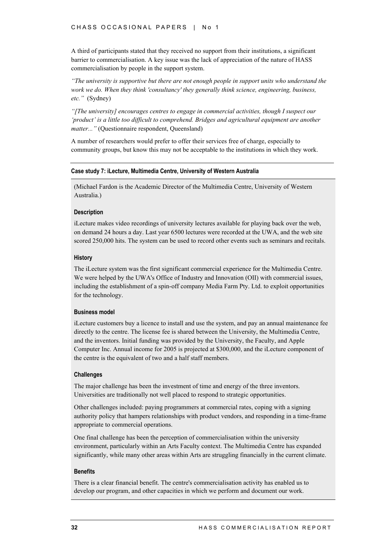A third of participants stated that they received no support from their institutions, a significant barrier to commercialisation. A key issue was the lack of appreciation of the nature of HASS commercialisation by people in the support system.

*"The university is supportive but there are not enough people in support units who understand the work we do. When they think 'consultancy' they generally think science, engineering, business, etc."* (Sydney)

*"[The university] encourages centres to engage in commercial activities, though I suspect our 'product' is a little too difficult to comprehend. Bridges and agricultural equipment are another matter..."* (Questionnaire respondent, Queensland)

A number of researchers would prefer to offer their services free of charge, especially to community groups, but know this may not be acceptable to the institutions in which they work.

#### **Case study 7: iLecture, Multimedia Centre, University of Western Australia**

(Michael Fardon is the Academic Director of the Multimedia Centre, University of Western Australia.)

#### **Description**

iLecture makes video recordings of university lectures available for playing back over the web, on demand 24 hours a day. Last year 6500 lectures were recorded at the UWA, and the web site scored 250,000 hits. The system can be used to record other events such as seminars and recitals.

#### **History**

The iLecture system was the first significant commercial experience for the Multimedia Centre. We were helped by the UWA's Office of Industry and Innovation (OII) with commercial issues, including the establishment of a spin-off company Media Farm Pty. Ltd. to exploit opportunities for the technology.

#### **Business model**

iLecture customers buy a licence to install and use the system, and pay an annual maintenance fee directly to the centre. The license fee is shared between the University, the Multimedia Centre, and the inventors. Initial funding was provided by the University, the Faculty, and Apple Computer Inc. Annual income for 2005 is projected at \$300,000, and the iLecture component of the centre is the equivalent of two and a half staff members.

#### **Challenges**

The major challenge has been the investment of time and energy of the three inventors. Universities are traditionally not well placed to respond to strategic opportunities.

Other challenges included: paying programmers at commercial rates, coping with a signing authority policy that hampers relationships with product vendors, and responding in a time-frame appropriate to commercial operations.

One final challenge has been the perception of commercialisation within the university environment, particularly within an Arts Faculty context. The Multimedia Centre has expanded significantly, while many other areas within Arts are struggling financially in the current climate.

### **Benefits**

There is a clear financial benefit. The centre's commercialisation activity has enabled us to develop our program, and other capacities in which we perform and document our work.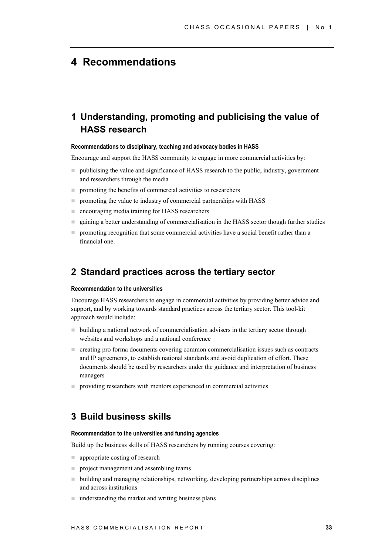## **4 Recommendations**

## **1 Understanding, promoting and publicising the value of HASS research**

#### **Recommendations to disciplinary, teaching and advocacy bodies in HASS**

Encourage and support the HASS community to engage in more commercial activities by:

- ! publicising the value and significance of HASS research to the public, industry, government and researchers through the media
- $\blacksquare$  promoting the benefits of commercial activities to researchers
- **The promoting the value to industry of commercial partnerships with HASS**
- **E** encouraging media training for HASS researchers
- gaining a better understanding of commercialisation in the HASS sector though further studies
- $\blacksquare$  promoting recognition that some commercial activities have a social benefit rather than a financial one.

### **2 Standard practices across the tertiary sector**

#### **Recommendation to the universities**

Encourage HASS researchers to engage in commercial activities by providing better advice and support, and by working towards standard practices across the tertiary sector. This tool-kit approach would include:

- ! building a national network of commercialisation advisers in the tertiary sector through websites and workshops and a national conference
- ! creating pro forma documents covering common commercialisation issues such as contracts and IP agreements, to establish national standards and avoid duplication of effort. These documents should be used by researchers under the guidance and interpretation of business managers
- **P** providing researchers with mentors experienced in commercial activities

### **3 Build business skills**

#### **Recommendation to the universities and funding agencies**

Build up the business skills of HASS researchers by running courses covering:

- **n** appropriate costing of research
- **project management and assembling teams**
- $\blacksquare$  building and managing relationships, networking, developing partnerships across disciplines and across institutions
- $\blacksquare$  understanding the market and writing business plans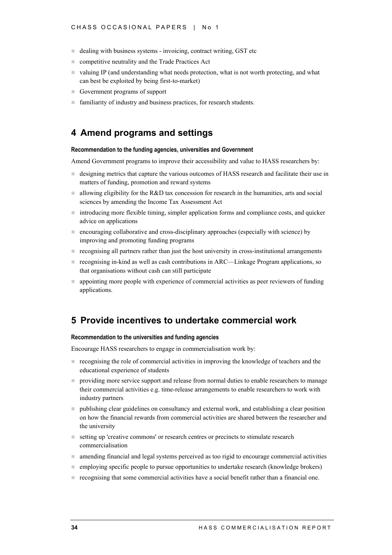- dealing with business systems invoicing, contract writing, GST etc
- **E** competitive neutrality and the Trade Practices Act
- ! valuing IP (and understanding what needs protection, what is not worth protecting, and what can best be exploited by being first-to-market)
- Government programs of support
- familiarity of industry and business practices, for research students.

### **4 Amend programs and settings**

#### **Recommendation to the funding agencies, universities and Government**

Amend Government programs to improve their accessibility and value to HASS researchers by:

- ! designing metrics that capture the various outcomes of HASS research and facilitate their use in matters of funding, promotion and reward systems
- I allowing eligibility for the R&D tax concession for research in the humanities, arts and social sciences by amending the Income Tax Assessment Act
- introducing more flexible timing, simpler application forms and compliance costs, and quicker advice on applications
- ! encouraging collaborative and cross-disciplinary approaches (especially with science) by improving and promoting funding programs
- ! recognising all partners rather than just the host university in cross-institutional arrangements
- recognising in-kind as well as cash contributions in ARC—Linkage Program applications, so that organisations without cash can still participate
- appointing more people with experience of commercial activities as peer reviewers of funding applications.

### **5 Provide incentives to undertake commercial work**

#### **Recommendation to the universities and funding agencies**

Encourage HASS researchers to engage in commercialisation work by:

- ! recognising the role of commercial activities in improving the knowledge of teachers and the educational experience of students
- ! providing more service support and release from normal duties to enable researchers to manage their commercial activities e.g. time-release arrangements to enable researchers to work with industry partners
- ! publishing clear guidelines on consultancy and external work, and establishing a clear position on how the financial rewards from commercial activities are shared between the researcher and the university
- setting up 'creative commons' or research centres or precincts to stimulate research commercialisation
- ! amending financial and legal systems perceived as too rigid to encourage commercial activities
- ! employing specific people to pursue opportunities to undertake research (knowledge brokers)
- ! recognising that some commercial activities have a social benefit rather than a financial one.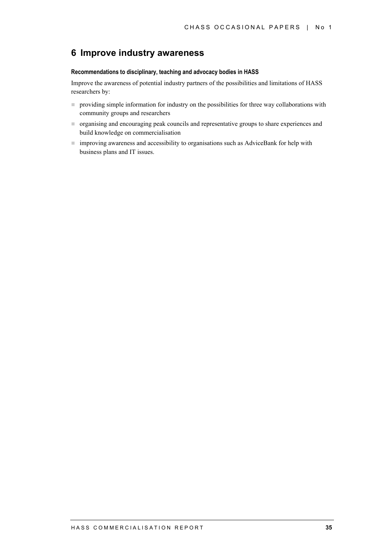### **6 Improve industry awareness**

#### **Recommendations to disciplinary, teaching and advocacy bodies in HASS**

Improve the awareness of potential industry partners of the possibilities and limitations of HASS researchers by:

- **Peroviding simple information for industry on the possibilities for three way collaborations with** community groups and researchers
- ! organising and encouraging peak councils and representative groups to share experiences and build knowledge on commercialisation
- improving awareness and accessibility to organisations such as AdviceBank for help with business plans and IT issues.